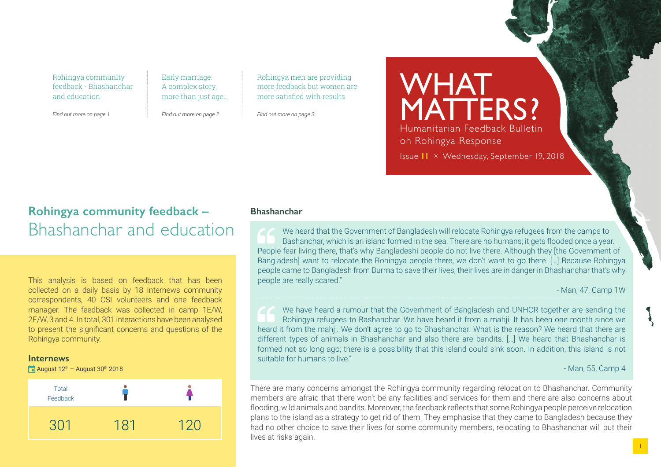Rohingya community feedback - Bhashanchar and education

*Find out more on page 1*

Early marriage: A complex story, more than just age…

*Find out more on page 2*

Rohingya men are providing more feedback but women are more satisfied with results

*Find out more on page 3*

WHAT MATTERS? Humanitarian Feedback Bulletin on Rohingya Response Issue **11** × Wednesday, September 19, 2018

### **Rohingya community feedback –** Bhashanchar and education

This analysis is based on feedback that has been collected on a daily basis by 18 Internews community correspondents, 40 CSI volunteers and one feedback manager. The feedback was collected in camp 1E/W, 2E/W, 3 and 4. In total, 301 interactions have been analysed to present the significant concerns and questions of the Rohingya community.

### **Internews**

August  $12^{th}$  – August  $30^{th}$  2018



### **Bhashanchar**

We heard that the Government of Bangladesh will relocate Rohingya refugees from the camps to Bashanchar, which is an island formed in the sea. There are no humans; it gets flooded once a year. People fear living there, that's why Bangladeshi people do not live there. Although they [the Government of Bangladesh] want to relocate the Rohingya people there, we don't want to go there. […] Because Rohingya people came to Bangladesh from Burma to save their lives; their lives are in danger in Bhashanchar that's why people are really scared."

- Man, 47, Camp 1W

We have heard a rumour that the Government of Bangladesh and UNHCR together are sending the Rohingya refugees to Bashanchar. We have heard it from a mahji. It has been one month since we heard it from the mahji. We don't agree to go to Bhashanchar. What is the reason? We heard that there are different types of animals in Bhashanchar and also there are bandits. […] We heard that Bhashanchar is formed not so long ago; there is a possibility that this island could sink soon. In addition, this island is not suitable for humans to live."

- Man, 55, Camp 4

There are many concerns amongst the Rohingya community regarding relocation to Bhashanchar. Community members are afraid that there won't be any facilities and services for them and there are also concerns about flooding, wild animals and bandits. Moreover, the feedback reflects that some Rohingya people perceive relocation plans to the island as a strategy to get rid of them. They emphasise that they came to Bangladesh because they had no other choice to save their lives for some community members, relocating to Bhashanchar will put their lives at risks again.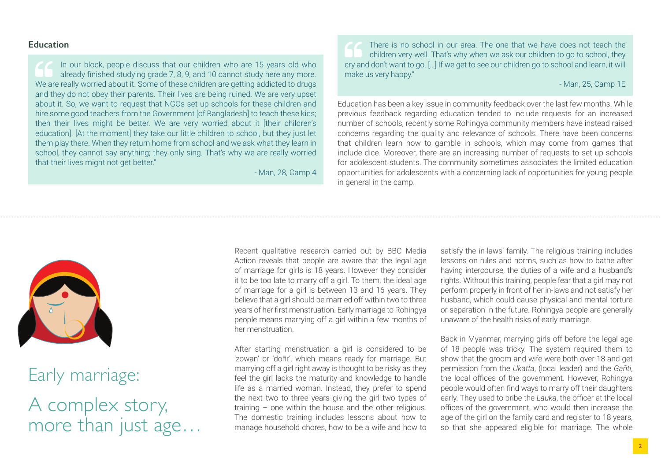### **Education**

In our block, people discuss that our children who are 15 years old who already finished studying grade 7, 8, 9, and 10 cannot study here any more. We are really worried about it. Some of these children are getting addicted to drugs and they do not obey their parents. Their lives are being ruined. We are very upset about it. So, we want to request that NGOs set up schools for these children and hire some good teachers from the Government [of Bangladesh] to teach these kids; then their lives might be better. We are very worried about it [their children's education]. [At the moment] they take our little children to school, but they just let them play there. When they return home from school and we ask what they learn in school, they cannot say anything; they only sing. That's why we are really worried that their lives might not get better."

- Man, 28, Camp 4

There is no school in our area. The one that we have does not teach the children very well. That's why when we ask our children to go to school, they cry and don't want to go. […] If we get to see our children go to school and learn, it will make us very happy."

- Man, 25, Camp 1E

Education has been a key issue in community feedback over the last few months. While previous feedback regarding education tended to include requests for an increased number of schools, recently some Rohingya community members have instead raised concerns regarding the quality and relevance of schools. There have been concerns that children learn how to gamble in schools, which may come from games that include dice. Moreover, there are an increasing number of requests to set up schools for adolescent students. The community sometimes associates the limited education opportunities for adolescents with a concerning lack of opportunities for young people in general in the camp.



## Early marriage:

A complex story, more than just age…

Recent qualitative research carried out by BBC Media Action reveals that people are aware that the legal age of marriage for girls is 18 years. However they consider it to be too late to marry off a girl. To them, the ideal age of marriage for a girl is between 13 and 16 years. They believe that a girl should be married off within two to three years of her first menstruation. Early marriage to Rohingya people means marrying off a girl within a few months of her menstruation.

After starting menstruation a girl is considered to be 'zowan' or 'doñr', which means ready for marriage. But marrying off a girl right away is thought to be risky as they feel the girl lacks the maturity and knowledge to handle life as a married woman. Instead, they prefer to spend the next two to three years giving the girl two types of training – one within the house and the other religious. The domestic training includes lessons about how to manage household chores, how to be a wife and how to satisfy the in-laws' family. The religious training includes lessons on rules and norms, such as how to bathe after having intercourse, the duties of a wife and a husband's rights. Without this training, people fear that a girl may not perform properly in front of her in-laws and not satisfy her husband, which could cause physical and mental torture or separation in the future. Rohingya people are generally unaware of the health risks of early marriage.

Back in Myanmar, marrying girls off before the legal age of 18 people was tricky. The system required them to show that the groom and wife were both over 18 and get permission from the *Ukatta*, (local leader) and the *Gañti*, the local offices of the government. However, Rohingya people would often find ways to marry off their daughters early. They used to bribe the *Lauka*, the officer at the local offices of the government, who would then increase the age of the girl on the family card and register to 18 years, so that she appeared eligible for marriage. The whole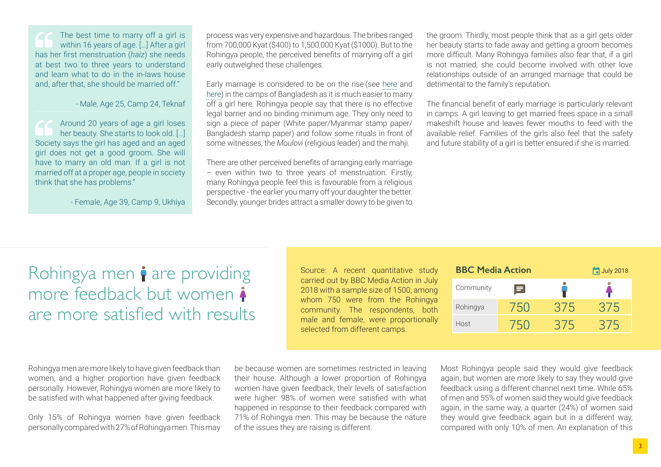The best time to marry off a girl is within 16 years of age. [...] After a girl has her first menstruation (*haiz*) she needs at best two to three years to understand and learn what to do in the in-laws house and, after that, she should be married off."

- Male, Age 25, Camp 24, Teknaf

Around 20 years of age a girl loses her beauty. She starts to look old. […] Society says the girl has aged and an aged girl does not get a good groom. She will have to marry an old man. If a girl is not married off at a proper age, people in society think that she has problems."

- Female, Age 39, Camp 9, Ukhiya

process was very expensive and hazardous. The bribes ranged from 700,000 Kyat (\$400) to 1,500,000 Kyat (\$1000). But to the Rohingya people, the perceived benefits of marrying off a girl early outweighed these challenges.

Early marriage is considered to be on the rise (see [here](https://reliefweb.int/report/bangladesh/gender-brief-rohingya-refugee-crisis-response-bangladesh-october-2017) and [here\)](https://app.box.com/s/0xrqxhfzyewfamn1d1dxwikqz9o5kbzq) in the camps of Bangladesh as it is much easier to marry off a girl here. Rohingya people say that there is no effective legal barrier and no binding minimum age. They only need to sign a piece of paper (White paper/Myanmar stamp paper/ Bangladesh stamp paper) and follow some rituals in front of some witnesses, the *Moulovi* (religious leader) and the mahji.

There are other perceived benefits of arranging early marriage – even within two to three years of menstruation. Firstly, many Rohingya people feel this is favourable from a religious perspective - the earlier you marry off your daughter the better. Secondly, younger brides attract a smaller dowry to be given to the groom. Thirdly, most people think that as a girl gets older her beauty starts to fade away and getting a groom becomes more difficult. Many Rohingya families also fear that, if a girl is not married, she could become involved with other love relationships outside of an arranged marriage that could be detrimental to the family's reputation.

The financial benefit of early marriage is particularly relevant in camps. A girl leaving to get married frees space in a small makeshift house and leaves fewer mouths to feed with the available relief. Families of the girls also feel that the safety and future stability of a girl is better ensured if she is married.

# Rohingya men  $\mathbf i$  are providing more feedback but women are more satisfied with results

Source: A recent quantitative study carried out by BBC Media Action in July 2018 with a sample size of 1500, among whom 750 were from the Rohingya community. The respondents, both male and female, were proportionally selected from different camps.

| <b>BBC Media Action</b> |           |         |     | July 2018 |
|-------------------------|-----------|---------|-----|-----------|
|                         | Community | 61      |     |           |
|                         | Rohingya  | 750     | 375 | 375       |
|                         | Host      | $150 -$ |     |           |

Rohingya men are more likely to have given feedback than women, and a higher proportion have given feedback personally. However, Rohingya women are more likely to be satisfied with what happened after giving feedback.

Only 15% of Rohingya women have given feedback personally compared with 27% of Rohingya men. This may

be because women are sometimes restricted in leaving their house. Although a lower proportion of Rohingya women have given feedback, their levels of satisfaction were higher: 98% of women were satisfied with what happened in response to their feedback compared with 71% of Rohingya men. This may be because the nature of the issues they are raising is different.

Most Rohingya people said they would give feedback again, but women are more likely to say they would give feedback using a different channel next time. While 65% of men and 55% of women said they would give feedback again, in the same way, a quarter (24%) of women said they would give feedback again but in a different way, compared with only 10% of men. An explanation of this